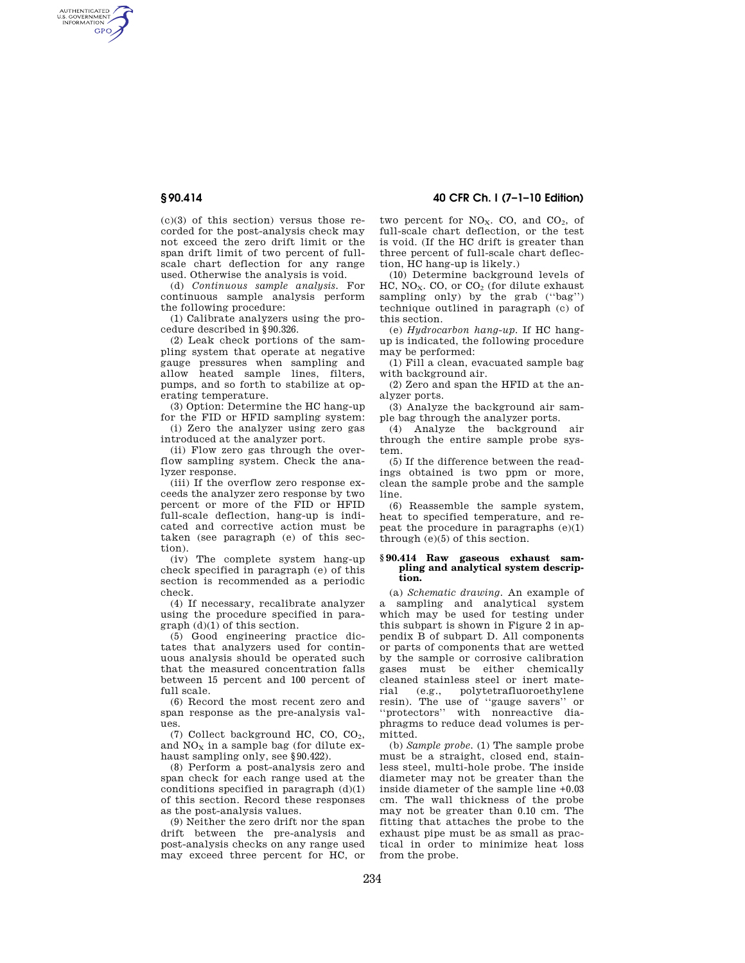AUTHENTICATED<br>U.S. GOVERNMENT<br>INFORMATION **GPO** 

> $(c)(3)$  of this section) versus those recorded for the post-analysis check may not exceed the zero drift limit or the span drift limit of two percent of fullscale chart deflection for any range used. Otherwise the analysis is void.

(d) *Continuous sample analysis.* For continuous sample analysis perform the following procedure:

(1) Calibrate analyzers using the procedure described in §90.326.

(2) Leak check portions of the sampling system that operate at negative gauge pressures when sampling and allow heated sample lines, filters, pumps, and so forth to stabilize at operating temperature.

(3) Option: Determine the HC hang-up for the FID or HFID sampling system:

(i) Zero the analyzer using zero gas introduced at the analyzer port.

(ii) Flow zero gas through the overflow sampling system. Check the analyzer response.

(iii) If the overflow zero response exceeds the analyzer zero response by two percent or more of the FID or HFID full-scale deflection, hang-up is indicated and corrective action must be taken (see paragraph (e) of this section).

(iv) The complete system hang-up check specified in paragraph (e) of this section is recommended as a periodic check.

(4) If necessary, recalibrate analyzer using the procedure specified in paragraph (d)(1) of this section.

(5) Good engineering practice dictates that analyzers used for continuous analysis should be operated such that the measured concentration falls between 15 percent and 100 percent of full scale.

(6) Record the most recent zero and span response as the pre-analysis values.

(7) Collect background HC, CO, CO2, and  $NO<sub>x</sub>$  in a sample bag (for dilute exhaust sampling only, see §90.422).

(8) Perform a post-analysis zero and span check for each range used at the conditions specified in paragraph  $(d)(1)$ of this section. Record these responses as the post-analysis values.

(9) Neither the zero drift nor the span drift between the pre-analysis and post-analysis checks on any range used may exceed three percent for HC, or

**§ 90.414 40 CFR Ch. I (7–1–10 Edition)** 

two percent for  $NO<sub>X</sub>$ . CO, and  $CO<sub>2</sub>$ , of full-scale chart deflection, or the test is void. (If the HC drift is greater than three percent of full-scale chart deflection, HC hang-up is likely.)

(10) Determine background levels of  $HC$ , NO<sub>X</sub>. CO, or  $CO<sub>2</sub>$  (for dilute exhaust sampling only) by the grab (''bag'') technique outlined in paragraph (c) of this section.

(e) *Hydrocarbon hang-up.* If HC hangup is indicated, the following procedure may be performed:

(1) Fill a clean, evacuated sample bag with background air.

(2) Zero and span the HFID at the analyzer ports.

(3) Analyze the background air sample bag through the analyzer ports.

(4) Analyze the background air through the entire sample probe system.

(5) If the difference between the readings obtained is two ppm or more, clean the sample probe and the sample line.

(6) Reassemble the sample system, heat to specified temperature, and repeat the procedure in paragraphs (e)(1) through (e)(5) of this section.

## **§ 90.414 Raw gaseous exhaust sampling and analytical system description.**

(a) *Schematic drawing.* An example of a sampling and analytical system which may be used for testing under this subpart is shown in Figure 2 in appendix B of subpart D. All components or parts of components that are wetted by the sample or corrosive calibration gases must be either chemically cleaned stainless steel or inert material (e.g., polytetrafluoroethylene resin). The use of ''gauge savers'' or ''protectors'' with nonreactive diaphragms to reduce dead volumes is permitted.

(b) *Sample probe.* (1) The sample probe must be a straight, closed end, stainless steel, multi-hole probe. The inside diameter may not be greater than the inside diameter of the sample line +0.03 cm. The wall thickness of the probe may not be greater than 0.10 cm. The fitting that attaches the probe to the exhaust pipe must be as small as practical in order to minimize heat loss from the probe.